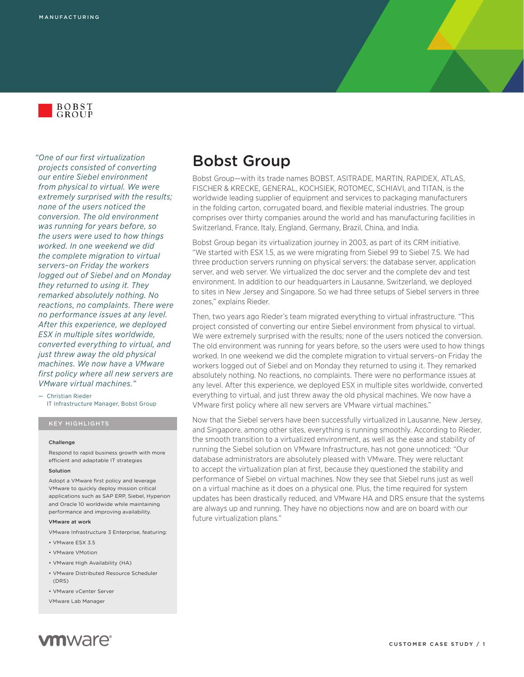

*"One of our first virtualization projects consisted of converting our entire Siebel environment from physical to virtual. We were extremely surprised with the results; none of the users noticed the conversion. The old environment was running for years before, so the users were used to how things worked. In one weekend we did the complete migration to virtual servers–on Friday the workers logged out of Siebel and on Monday they returned to using it. They remarked absolutely nothing. No reactions, no complaints. There were no performance issues at any level. After this experience, we deployed ESX in multiple sites worldwide, converted everything to virtual, and just threw away the old physical machines. We now have a VMware first policy where all new servers are VMware virtual machines."*

— Christian Rieder IT Infrastructure Manager, Bobst Group

## KEY HIGHLIGHTS

#### **Challenge**

Respond to rapid business growth with more efficient and adaptable IT strategies

### Solution

Adopt a VMware first policy and leverage VMware to quickly deploy mission critical applications such as SAP ERP, Siebel, Hyperion and Oracle 10 worldwide while maintaining performance and improving availability.

### VMware at work

VMware Infrastructure 3 Enterprise, featuring:

- • VMware ESX 3.5
- • VMware VMotion
- • VMware High Availability (HA)
- • VMware Distributed Resource Scheduler (DRS)
- • VMware vCenter Server
- VMware Lab Manager

# Bobst Group

Bobst Group—with its trade names BOBST, ASITRADE, MARTIN, RAPIDEX, ATLAS, FISCHER & KRECKE, GENERAL, KOCHSIEK, ROTOMEC, SCHIAVI, and TITAN, is the worldwide leading supplier of equipment and services to packaging manufacturers in the folding carton, corrugated board, and flexible material industries. The group comprises over thirty companies around the world and has manufacturing facilities in Switzerland, France, Italy, England, Germany, Brazil, China, and India.

Bobst Group began its virtualization journey in 2003, as part of its CRM initiative. "We started with ESX 1.5, as we were migrating from Siebel 99 to Siebel 7.5. We had three production servers running on physical servers: the database server, application server, and web server. We virtualized the doc server and the complete dev and test environment. In addition to our headquarters in Lausanne, Switzerland, we deployed to sites in New Jersey and Singapore. So we had three setups of Siebel servers in three zones," explains Rieder.

Then, two years ago Rieder's team migrated everything to virtual infrastructure. "This project consisted of converting our entire Siebel environment from physical to virtual. We were extremely surprised with the results; none of the users noticed the conversion. The old environment was running for years before, so the users were used to how things worked. In one weekend we did the complete migration to virtual servers–on Friday the workers logged out of Siebel and on Monday they returned to using it. They remarked absolutely nothing. No reactions, no complaints. There were no performance issues at any level. After this experience, we deployed ESX in multiple sites worldwide, converted everything to virtual, and just threw away the old physical machines. We now have a VMware first policy where all new servers are VMware virtual machines."

Now that the Siebel servers have been successfully virtualized in Lausanne, New Jersey, and Singapore, among other sites, everything is running smoothly. According to Rieder, the smooth transition to a virtualized environment, as well as the ease and stability of running the Siebel solution on VMware Infrastructure, has not gone unnoticed: "Our database administrators are absolutely pleased with VMware. They were reluctant to accept the virtualization plan at first, because they questioned the stability and performance of Siebel on virtual machines. Now they see that Siebel runs just as well on a virtual machine as it does on a physical one. Plus, the time required for system updates has been drastically reduced, and VMware HA and DRS ensure that the systems are always up and running. They have no objections now and are on board with our future virtualization plans."